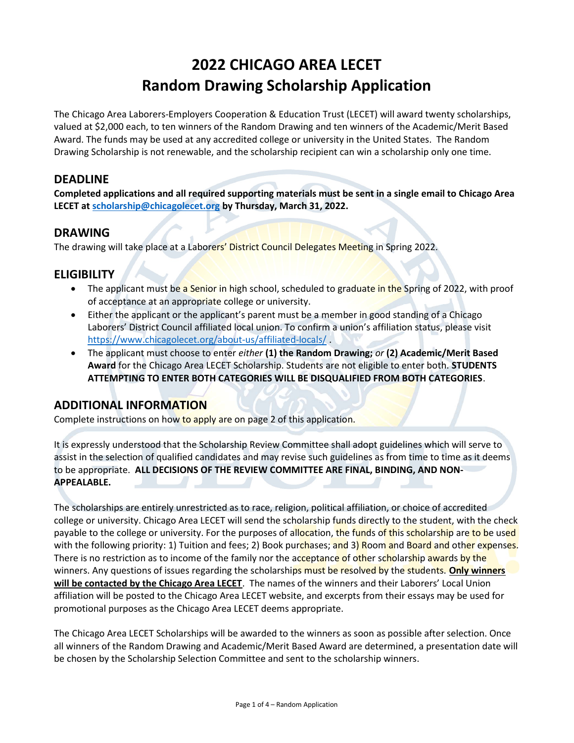# 2022 CHICAGO AREA LECET Random Drawing Scholarship Application

The Chicago Area Laborers-Employers Cooperation & Education Trust (LECET) will award twenty scholarships, valued at \$2,000 each, to ten winners of the Random Drawing and ten winners of the Academic/Merit Based Award. The funds may be used at any accredited college or university in the United States. The Random Drawing Scholarship is not renewable, and the scholarship recipient can win a scholarship only one time.

## DEADLINE

Completed applications and all required supporting materials must be sent in a single email to Chicago Area LECET at scholarship@chicagolecet.org by Thursday, March 31, 2022.

## DRAWING

The drawing will take place at a Laborers' District Council Delegates Meeting in Spring 2022.

## **ELIGIBILITY**

- The applicant must be a Senior in high school, scheduled to graduate in the Spring of 2022, with proof of acceptance at an appropriate college or university.
- Either the applicant or the applicant's parent must be a member in good standing of a Chicago Laborers' District Council affiliated local union. To confirm a union's affiliation status, please visit https://www.chicagolecet.org/about-us/affiliated-locals/ .
- The applicant must choose to enter either (1) the Random Drawing; or (2) Academic/Merit Based Award for the Chicago Area LECET Scholarship. Students are not eligible to enter both. STUDENTS ATTEMPTING TO ENTER BOTH CATEGORIES WILL BE DISQUALIFIED FROM BOTH CATEGORIES.

# ADDITIONAL INFORMATION

Complete instructions on how to apply are on page 2 of this application.

It is expressly understood that the Scholarship Review Committee shall adopt guidelines which will serve to assist in the selection of qualified candidates and may revise such guidelines as from time to time as it deems to be appropriate. ALL DECISIONS OF THE REVIEW COMMITTEE ARE FINAL, BINDING, AND NON-APPEALABLE.

The scholarships are entirely unrestricted as to race, religion, political affiliation, or choice of accredited college or university. Chicago Area LECET will send the scholarship funds directly to the student, with the check payable to the college or university. For the purposes of allocation, the funds of this scholarship are to be used with the following priority: 1) Tuition and fees; 2) Book purchases; and 3) Room and Board and other expenses. There is no restriction as to income of the family nor the acceptance of other scholarship awards by the winners. Any questions of issues regarding the scholarships must be resolved by the students. Only winners will be contacted by the Chicago Area LECET. The names of the winners and their Laborers' Local Union affiliation will be posted to the Chicago Area LECET website, and excerpts from their essays may be used for promotional purposes as the Chicago Area LECET deems appropriate.

The Chicago Area LECET Scholarships will be awarded to the winners as soon as possible after selection. Once all winners of the Random Drawing and Academic/Merit Based Award are determined, a presentation date will be chosen by the Scholarship Selection Committee and sent to the scholarship winners.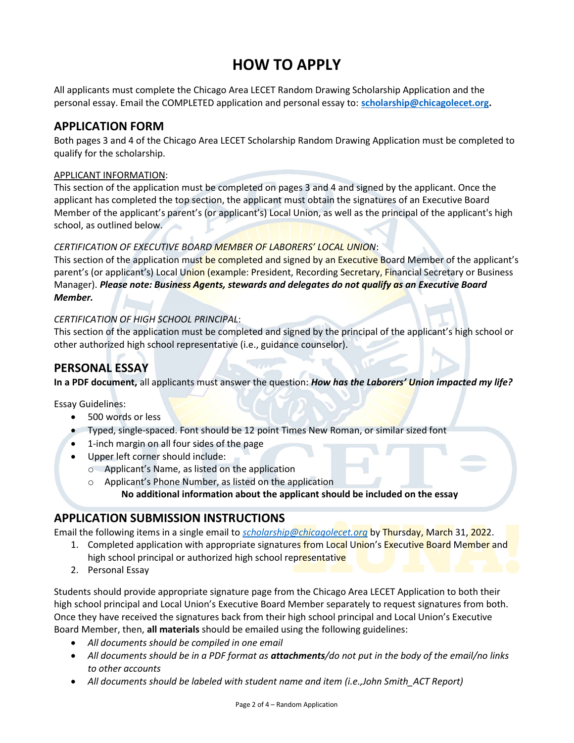# HOW TO APPLY

All applicants must complete the Chicago Area LECET Random Drawing Scholarship Application and the personal essay. Email the COMPLETED application and personal essay to: scholarship@chicagolecet.org.

# APPLICATION FORM

Both pages 3 and 4 of the Chicago Area LECET Scholarship Random Drawing Application must be completed to qualify for the scholarship.

#### APPLICANT INFORMATION:

This section of the application must be completed on pages 3 and 4 and signed by the applicant. Once the applicant has completed the top section, the applicant must obtain the signatures of an Executive Board Member of the applicant's parent's (or applicant's) Local Union, as well as the principal of the applicant's high school, as outlined below.

#### CERTIFICATION OF EXECUTIVE BOARD MEMBER OF LABORERS' LOCAL UNION:

This section of the application must be completed and signed by an Executive Board Member of the applicant's parent's (or applicant's) Local Union (example: President, Recording Secretary, Financial Secretary or Business Manager). Please note: Business Agents, stewards and delegates do not qualify as an Executive Board Member.

### CERTIFICATION OF HIGH SCHOOL PRINCIPAL:

This section of the application must be completed and signed by the principal of the applicant's high school or other authorized high school representative (i.e., guidance counselor).

# PERSONAL ESSAY

In a PDF document, all applicants must answer the question: How has the Laborers' Union impacted my life?

Essay Guidelines:

- 500 words or less
- Typed, single-spaced. Font should be 12 point Times New Roman, or similar sized font
- 1-inch margin on all four sides of the page
- Upper left corner should include:
	- o Applicant's Name, as listed on the application
	- o Applicant's Phone Number, as listed on the application

No additional information about the applicant should be included on the essay

# APPLICATION SUBMISSION INSTRUCTIONS

Email the following items in a single email to *scholarship@chicagolecet.org* by Thursday, March 31, 2022.

- 1. Completed application with appropriate signatures from Local Union's Executive Board Member and high school principal or authorized high school representative
- 2. Personal Essay

Students should provide appropriate signature page from the Chicago Area LECET Application to both their high school principal and Local Union's Executive Board Member separately to request signatures from both. Once they have received the signatures back from their high school principal and Local Union's Executive Board Member, then, all materials should be emailed using the following guidelines:

- All documents should be compiled in one email
- All documents should be in a PDF format as **attachments**/do not put in the body of the email/no links to other accounts
- All documents should be labeled with student name and item (i.e.,John Smith ACT Report)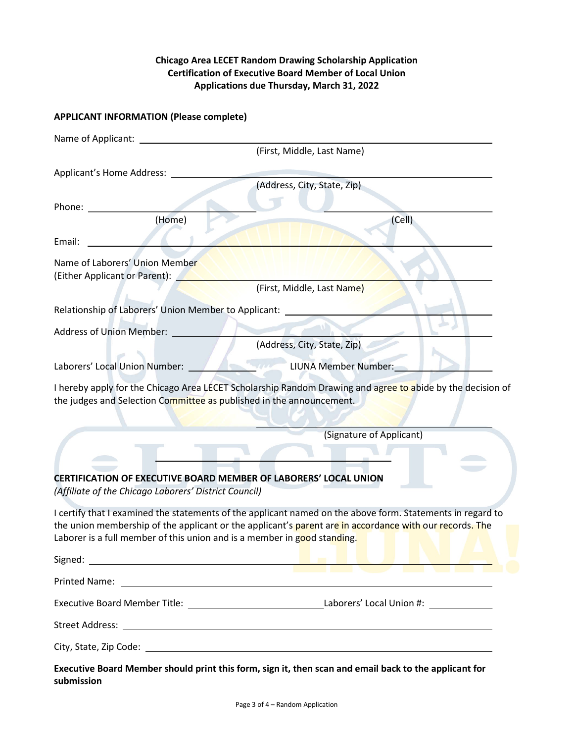#### Chicago Area LECET Random Drawing Scholarship Application Certification of Executive Board Member of Local Union Applications due Thursday, March 31, 2022

## APPLICANT INFORMATION (Please complete)

| Name of Applicant:                                                                                                                                                                                            |                                                                                                                                                                                                                       |  |
|---------------------------------------------------------------------------------------------------------------------------------------------------------------------------------------------------------------|-----------------------------------------------------------------------------------------------------------------------------------------------------------------------------------------------------------------------|--|
|                                                                                                                                                                                                               | (First, Middle, Last Name)                                                                                                                                                                                            |  |
| Applicant's Home Address:                                                                                                                                                                                     |                                                                                                                                                                                                                       |  |
|                                                                                                                                                                                                               | (Address, City, State, Zip)                                                                                                                                                                                           |  |
| Phone:                                                                                                                                                                                                        |                                                                                                                                                                                                                       |  |
| (Home)                                                                                                                                                                                                        | (Cell)                                                                                                                                                                                                                |  |
| Email:                                                                                                                                                                                                        |                                                                                                                                                                                                                       |  |
| Name of Laborers' Union Member                                                                                                                                                                                |                                                                                                                                                                                                                       |  |
| (Either Applicant or Parent):                                                                                                                                                                                 |                                                                                                                                                                                                                       |  |
|                                                                                                                                                                                                               | (First, Middle, Last Name)                                                                                                                                                                                            |  |
| Relationship of Laborers' Union Member to Applicant:                                                                                                                                                          |                                                                                                                                                                                                                       |  |
| <b>Address of Union Member:</b>                                                                                                                                                                               |                                                                                                                                                                                                                       |  |
|                                                                                                                                                                                                               | (Address, City, State, Zip)                                                                                                                                                                                           |  |
| Laborers' Local Union Number:                                                                                                                                                                                 | LIUNA Member Number:                                                                                                                                                                                                  |  |
| the judges and Selection Committee as published in the announcement.                                                                                                                                          | I hereby apply for the Chicago Area LECET Scholarship Random Drawing and agree to abide by the decision of                                                                                                            |  |
|                                                                                                                                                                                                               | (Signature of Applicant)                                                                                                                                                                                              |  |
|                                                                                                                                                                                                               |                                                                                                                                                                                                                       |  |
| <b>CERTIFICATION OF EXECUTIVE BOARD MEMBER OF LABORERS' LOCAL UNION</b>                                                                                                                                       |                                                                                                                                                                                                                       |  |
| (Affiliate of the Chicago Laborers' District Council)                                                                                                                                                         |                                                                                                                                                                                                                       |  |
| Laborer is a full member of this union and is a member in good standing.<br>Signed:<br><u> 1989 - Johann Stoff, deutscher Stoffen und der Stoffen und der Stoffen und der Stoffen und der Stoffen und der</u> | I certify that I examined the statements of the applicant named on the above form. Statements in regard to<br>the union membership of the applicant or the applicant's parent are in accordance with our records. The |  |
| Printed Name:                                                                                                                                                                                                 | <u> 2008 - Andrea Andrew Maria (h. 1888).</u><br>2008 - Andrew Maria (h. 1888).                                                                                                                                       |  |
|                                                                                                                                                                                                               | Executive Board Member Title: ___________________________________Laborers' Local Union #: _______________                                                                                                             |  |
|                                                                                                                                                                                                               |                                                                                                                                                                                                                       |  |
|                                                                                                                                                                                                               |                                                                                                                                                                                                                       |  |
| submission                                                                                                                                                                                                    | Executive Board Member should print this form, sign it, then scan and email back to the applicant for                                                                                                                 |  |